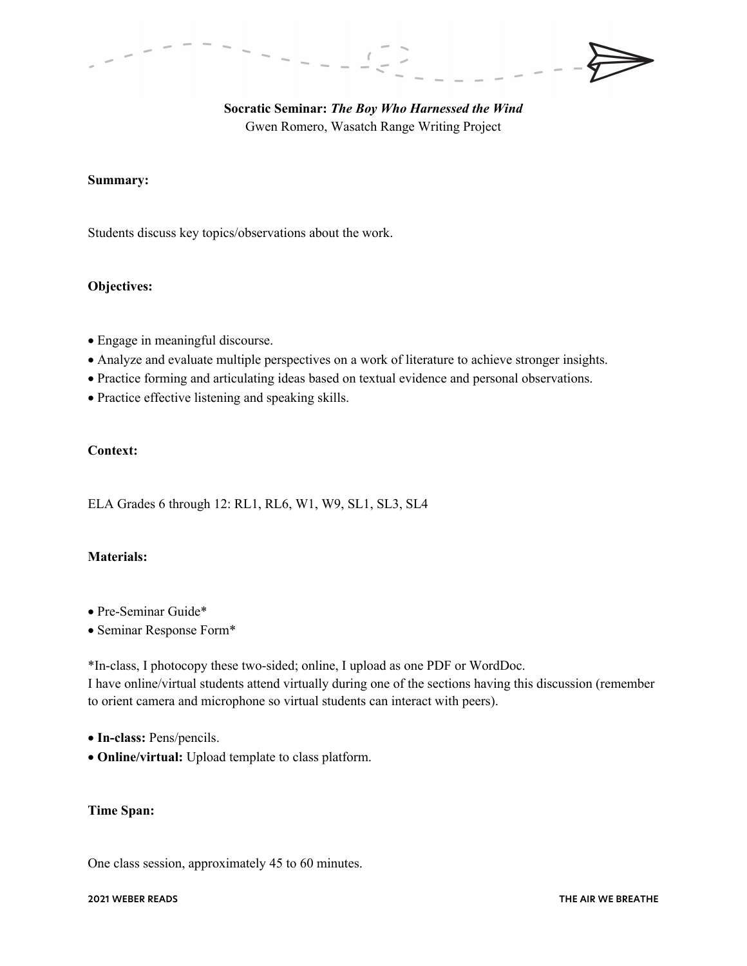# **Socratic Seminar:** *The Boy Who Harnessed the Wind* Gwen Romero, Wasatch Range Writing Project

### **Summary:**

Students discuss key topics/observations about the work.

#### **Objectives:**

- Engage in meaningful discourse.
- Analyze and evaluate multiple perspectives on a work of literature to achieve stronger insights.
- Practice forming and articulating ideas based on textual evidence and personal observations.
- Practice effective listening and speaking skills.

## **Context:**

ELA Grades 6 through 12: RL1, RL6, W1, W9, SL1, SL3, SL4

#### **Materials:**

- Pre-Seminar Guide\*
- Seminar Response Form\*

\*In-class, I photocopy these two-sided; online, I upload as one PDF or WordDoc. I have online/virtual students attend virtually during one of the sections having this discussion (remember to orient camera and microphone so virtual students can interact with peers).

- **In-class:** Pens/pencils.
- **Online/virtual:** Upload template to class platform.

### **Time Span:**

One class session, approximately 45 to 60 minutes.

#### **2021 WEBER READS THE AIR WE BREATHE**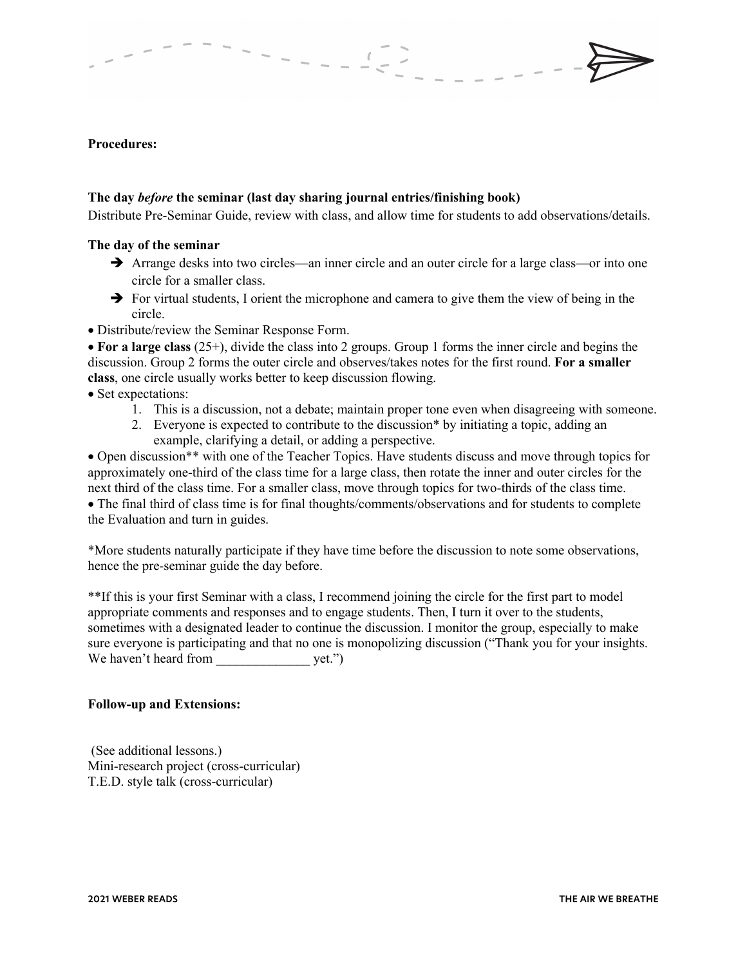### **Procedures:**

#### **The day** *before* **the seminar (last day sharing journal entries/finishing book)**

Distribute Pre-Seminar Guide, review with class, and allow time for students to add observations/details.

#### **The day of the seminar**

- Arrange desks into two circles—an inner circle and an outer circle for a large class—or into one circle for a smaller class.
- $\rightarrow$  For virtual students, I orient the microphone and camera to give them the view of being in the circle.
- Distribute/review the Seminar Response Form.

• **For a large class** (25+), divide the class into 2 groups. Group 1 forms the inner circle and begins the discussion. Group 2 forms the outer circle and observes/takes notes for the first round. **For a smaller class**, one circle usually works better to keep discussion flowing.

- Set expectations:
	- 1. This is a discussion, not a debate; maintain proper tone even when disagreeing with someone.
	- 2. Everyone is expected to contribute to the discussion\* by initiating a topic, adding an example, clarifying a detail, or adding a perspective.

• Open discussion\*\* with one of the Teacher Topics. Have students discuss and move through topics for approximately one-third of the class time for a large class, then rotate the inner and outer circles for the next third of the class time. For a smaller class, move through topics for two-thirds of the class time. • The final third of class time is for final thoughts/comments/observations and for students to complete the Evaluation and turn in guides.

\*More students naturally participate if they have time before the discussion to note some observations, hence the pre-seminar guide the day before.

\*\*If this is your first Seminar with a class, I recommend joining the circle for the first part to model appropriate comments and responses and to engage students. Then, I turn it over to the students, sometimes with a designated leader to continue the discussion. I monitor the group, especially to make sure everyone is participating and that no one is monopolizing discussion ("Thank you for your insights. We haven't heard from yet.")

#### **Follow-up and Extensions:**

(See additional lessons.) Mini-research project (cross-curricular) T.E.D. style talk (cross-curricular)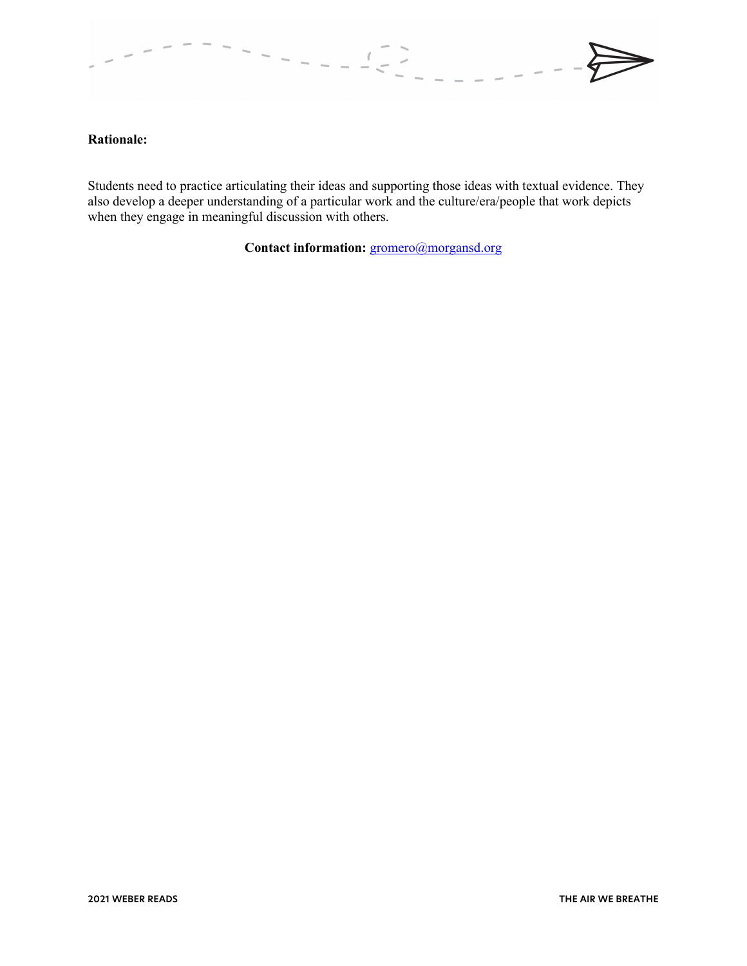

#### **Rationale:**

Students need to practice articulating their ideas and supporting those ideas with textual evidence. They also develop a deeper understanding of a particular work and the culture/era/people that work depicts when they engage in meaningful discussion with others.

Contact information: gromero@morgansd.org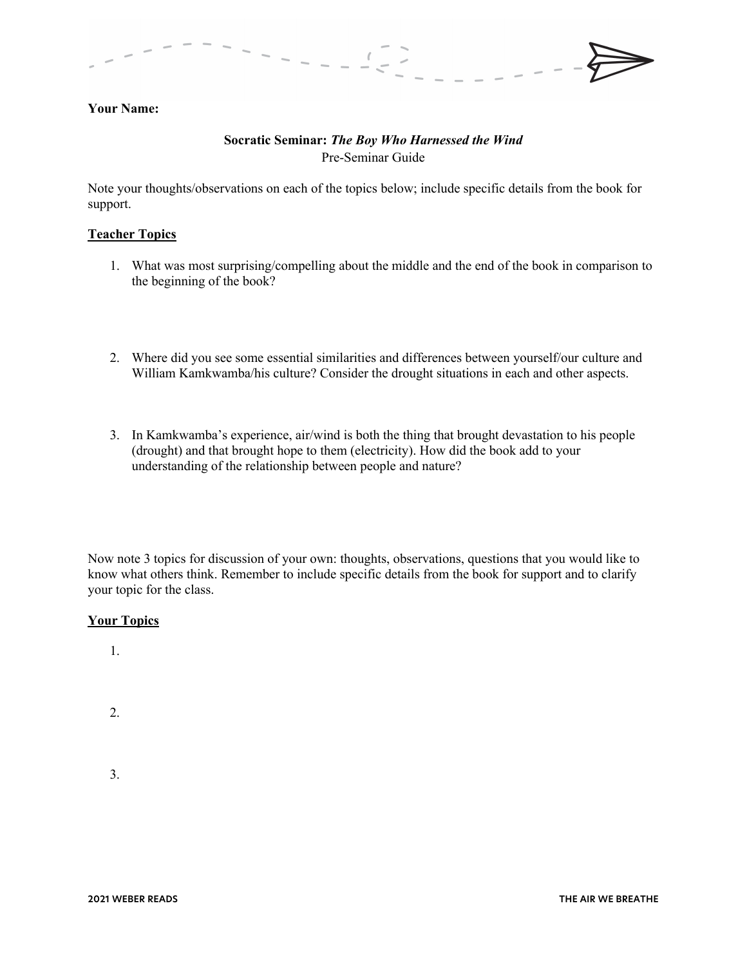# **Your Name:**

# **Socratic Seminar:** *The Boy Who Harnessed the Wind* Pre-Seminar Guide

Note your thoughts/observations on each of the topics below; include specific details from the book for support.

#### **Teacher Topics**

- 1. What was most surprising/compelling about the middle and the end of the book in comparison to the beginning of the book?
- 2. Where did you see some essential similarities and differences between yourself/our culture and William Kamkwamba/his culture? Consider the drought situations in each and other aspects.
- 3. In Kamkwamba's experience, air/wind is both the thing that brought devastation to his people (drought) and that brought hope to them (electricity). How did the book add to your understanding of the relationship between people and nature?

Now note 3 topics for discussion of your own: thoughts, observations, questions that you would like to know what others think. Remember to include specific details from the book for support and to clarify your topic for the class.

#### **Your Topics**

1.

2.

3.